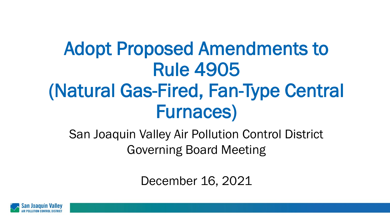# Adopt Proposed Amendments to Rule 4905 (Natural Gas-Fired, Fan-Type Central Furnaces)

San Joaquin Valley Air Pollution Control District Governing Board Meeting

December 16, 2021

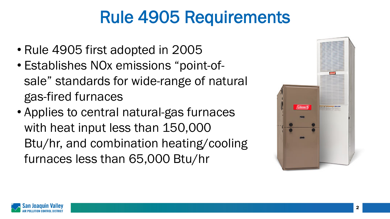# Rule 4905 Requirements

- Rule 4905 first adopted in 2005
- Establishes NOx emissions "point-ofsale" standards for wide-range of natural gas-fired furnaces
- Applies to central natural-gas furnaces with heat input less than 150,000 Btu/hr, and combination heating/cooling furnaces less than 65,000 Btu/hr



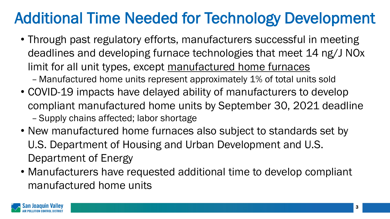#### Additional Time Needed for Technology Development

- Through past regulatory efforts, manufacturers successful in meeting deadlines and developing furnace technologies that meet 14 ng/J NOx limit for all unit types, except manufactured home furnaces
	- Manufactured home units represent approximately 1% of total units sold
- COVID-19 impacts have delayed ability of manufacturers to develop compliant manufactured home units by September 30, 2021 deadline – Supply chains affected; labor shortage
- New manufactured home furnaces also subject to standards set by U.S. Department of Housing and Urban Development and U.S. Department of Energy
- Manufacturers have requested additional time to develop compliant manufactured home units

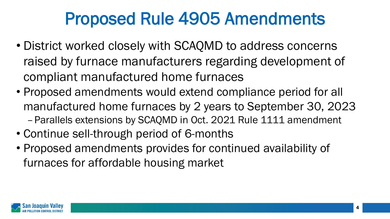### Proposed Rule 4905 Amendments

- District worked closely with SCAQMD to address concerns raised by furnace manufacturers regarding development of compliant manufactured home furnaces
- Proposed amendments would extend compliance period for all manufactured home furnaces by 2 years to September 30, 2023 –Parallels extensions by SCAQMD in Oct. 2021 Rule 1111 amendment
- Continue sell-through period of 6-months
- Proposed amendments provides for continued availability of furnaces for affordable housing market

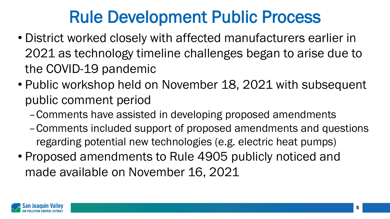### Rule Development Public Process

- District worked closely with affected manufacturers earlier in 2021 as technology timeline challenges began to arise due to the COVID-19 pandemic
- Public workshop held on November 18, 2021 with subsequent public comment period
	- –Comments have assisted in developing proposed amendments
	- –Comments included support of proposed amendments and questions regarding potential new technologies (e.g. electric heat pumps)
- Proposed amendments to Rule 4905 publicly noticed and made available on November 16, 2021

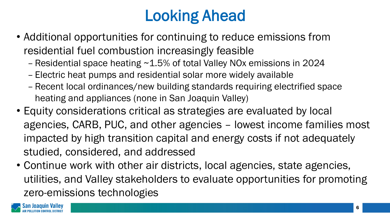#### Looking Ahead

- Additional opportunities for continuing to reduce emissions from residential fuel combustion increasingly feasible
	- Residential space heating ~1.5% of total Valley NOx emissions in 2024
	- Electric heat pumps and residential solar more widely available
	- Recent local ordinances/new building standards requiring electrified space heating and appliances (none in San Joaquin Valley)
- Equity considerations critical as strategies are evaluated by local agencies, CARB, PUC, and other agencies – lowest income families most impacted by high transition capital and energy costs if not adequately studied, considered, and addressed
- Continue work with other air districts, local agencies, state agencies, utilities, and Valley stakeholders to evaluate opportunities for promoting zero-emissions technologies